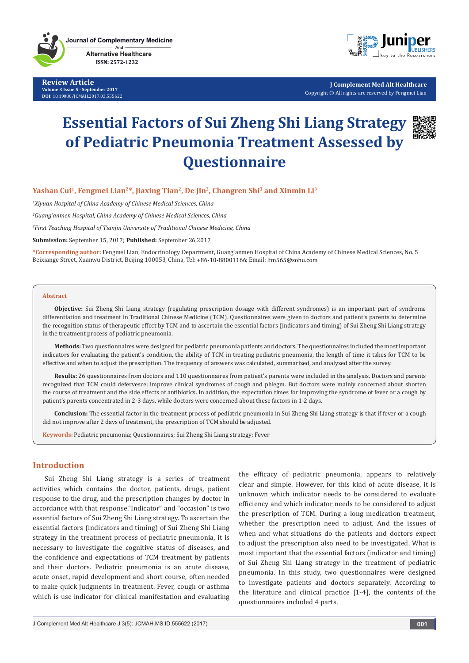**Review Article Volume 3 Issue 5 - September 2017 DOI:** [10.19080/JCMAH.2017.03.555622](http://dx.doi.org/10.19080/JCMAH.2017.03.555622
)



**J Complement Med Alt Healthcare** Copyright © All rights are reserved by Fengmei Lian

# **Essential Factors of Sui Zheng Shi Liang Strategy of Pediatric Pneumonia Treatment Assessed by Questionnaire**



# Yashan Cui<sup>1</sup>, Fengmei Lian<sup>2\*</sup>, Jiaxing Tian<sup>2</sup>, De Jin<sup>2</sup>, Changren Shi<sup>3</sup> and Xinmin Li<sup>3</sup>

*1 Xiyuan Hospital of China Academy of Chinese Medical Sciences, China*

*2 Guang'anmen Hospital, China Academy of Chinese Medical Sciences, China*

*3 First Teaching Hospital of Tianjin University of Traditional Chinese Medicine, China*

**Submission:** September 15, 2017; **Published:** September 26,2017

**\*Corresponding author:** Fengmei Lian, Endocrinology Department, Guang'anmen Hospital of China Academy of Chinese Medical Sciences, No. 5 Beixiange Street, Xuanwu District, Beijing 100053, China, Tel: +86-10-88001166; Email: lfm565@sohu.com

#### **Abstract**

**Objective:** Sui Zheng Shi Liang strategy (regulating prescription dosage with different syndromes) is an important part of syndrome differentiation and treatment in Traditional Chinese Medicine (TCM). Questionnaires were given to doctors and patient's parents to determine the recognition status of therapeutic effect by TCM and to ascertain the essential factors (indicators and timing) of Sui Zheng Shi Liang strategy in the treatment process of pediatric pneumonia.

**Methods:** Two questionnaires were designed for pediatric pneumonia patients and doctors. The questionnaires included the most important indicators for evaluating the patient's condition, the ability of TCM in treating pediatric pneumonia, the length of time it takes for TCM to be effective and when to adjust the prescription. The frequency of answers was calculated, summarized, and analyzed after the survey.

**Results:** 26 questionnaires from doctors and 110 questionnaires from patient's parents were included in the analysis. Doctors and parents recognized that TCM could defervesce; improve clinical syndromes of cough and phlegm. But doctors were mainly concerned about shorten the course of treatment and the side effects of antibiotics. In addition, the expectation times for improving the syndrome of fever or a cough by patient's parents concentrated in 2-3 days, while doctors were concerned about these factors in 1-2 days.

**Conclusion:** The essential factor in the treatment process of pediatric pneumonia in Sui Zheng Shi Liang strategy is that if fever or a cough did not improve after 2 days of treatment, the prescription of TCM should be adjusted.

**Keywords:** Pediatric pneumonia; Questionnaires; Sui Zheng Shi Liang strategy; Fever

#### **Introduction**

Sui Zheng Shi Liang strategy is a series of treatment activities which contains the doctor, patients, drugs, patient response to the drug, and the prescription changes by doctor in accordance with that response."Indicator" and "occasion" is two essential factors of Sui Zheng Shi Liang strategy. To ascertain the essential factors (indicators and timing) of Sui Zheng Shi Liang strategy in the treatment process of pediatric pneumonia, it is necessary to investigate the cognitive status of diseases, and the confidence and expectations of TCM treatment by patients and their doctors. Pediatric pneumonia is an acute disease, acute onset, rapid development and short course, often needed to make quick judgments in treatment. Fever, cough or asthma which is use indicator for clinical manifestation and evaluating the efficacy of pediatric pneumonia, appears to relatively clear and simple. However, for this kind of acute disease, it is unknown which indicator needs to be considered to evaluate efficiency and which indicator needs to be considered to adjust the prescription of TCM. During a long medication treatment, whether the prescription need to adjust. And the issues of when and what situations do the patients and doctors expect to adjust the prescription also need to be investigated. What is most important that the essential factors (indicator and timing) of Sui Zheng Shi Liang strategy in the treatment of pediatric pneumonia. In this study, two questionnaires were designed to investigate patients and doctors separately. According to the literature and clinical practice [1-4], the contents of the questionnaires included 4 parts.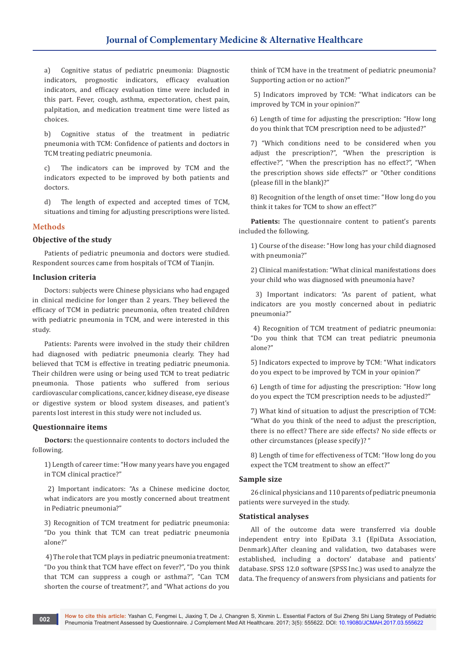a) Cognitive status of pediatric pneumonia: Diagnostic indicators, prognostic indicators, efficacy evaluation indicators, and efficacy evaluation time were included in this part. Fever, cough, asthma, expectoration, chest pain, palpitation, and medication treatment time were listed as choices.

b) Cognitive status of the treatment in pediatric pneumonia with TCM: Confidence of patients and doctors in TCM treating pediatric pneumonia.

c) The indicators can be improved by TCM and the indicators expected to be improved by both patients and doctors.

d) The length of expected and accepted times of TCM, situations and timing for adjusting prescriptions were listed.

## **Methods**

## **Objective of the study**

Patients of pediatric pneumonia and doctors were studied. Respondent sources came from hospitals of TCM of Tianjin.

#### **Inclusion criteria**

Doctors: subjects were Chinese physicians who had engaged in clinical medicine for longer than 2 years. They believed the efficacy of TCM in pediatric pneumonia, often treated children with pediatric pneumonia in TCM, and were interested in this study.

Patients: Parents were involved in the study their children had diagnosed with pediatric pneumonia clearly. They had believed that TCM is effective in treating pediatric pneumonia. Their children were using or being used TCM to treat pediatric pneumonia. Those patients who suffered from serious cardiovascular complications, cancer, kidney disease, eye disease or digestive system or blood system diseases, and patient's parents lost interest in this study were not included us.

## **Questionnaire items**

**Doctors:** the questionnaire contents to doctors included the following.

1) Length of career time: "How many years have you engaged in TCM clinical practice?"

 2) Important indicators: "As a Chinese medicine doctor, what indicators are you mostly concerned about treatment in Pediatric pneumonia?"

3) Recognition of TCM treatment for pediatric pneumonia: "Do you think that TCM can treat pediatric pneumonia alone?"

 4) The role that TCM plays in pediatric pneumonia treatment: "Do you think that TCM have effect on fever?", "Do you think that TCM can suppress a cough or asthma?", "Can TCM shorten the course of treatment?", and "What actions do you

think of TCM have in the treatment of pediatric pneumonia? Supporting action or no action?"

 5) Indicators improved by TCM: "What indicators can be improved by TCM in your opinion?"

6) Length of time for adjusting the prescription: "How long do you think that TCM prescription need to be adjusted?"

7) "Which conditions need to be considered when you adjust the prescription?", "When the prescription is effective?", "When the prescription has no effect?", "When the prescription shows side effects?" or "Other conditions (please fill in the blank)?"

8) Recognition of the length of onset time: "How long do you think it takes for TCM to show an effect?"

Patients: The questionnaire content to patient's parents included the following.

1) Course of the disease: "How long has your child diagnosed with pneumonia?"

2) Clinical manifestation: "What clinical manifestations does your child who was diagnosed with pneumonia have?

 3) Important indicators: "As parent of patient, what indicators are you mostly concerned about in pediatric pneumonia?"

 4) Recognition of TCM treatment of pediatric pneumonia: "Do you think that TCM can treat pediatric pneumonia alone?"

5) Indicators expected to improve by TCM: "What indicators do you expect to be improved by TCM in your opinion?"

6) Length of time for adjusting the prescription: "How long do you expect the TCM prescription needs to be adjusted?"

7) What kind of situation to adjust the prescription of TCM: "What do you think of the need to adjust the prescription, there is no effect? There are side effects? No side effects or other circumstances (please specify)? "

8) Length of time for effectiveness of TCM: "How long do you expect the TCM treatment to show an effect?"

## **Sample size**

26 clinical physicians and 110 parents of pediatric pneumonia patients were surveyed in the study.

## **Statistical analyses**

All of the outcome data were transferred via double independent entry into EpiData 3.1 (EpiData Association, Denmark).After cleaning and validation, two databases were established, including a doctors' database and patients' database. SPSS 12.0 software (SPSS Inc.) was used to analyze the data. The frequency of answers from physicians and patients for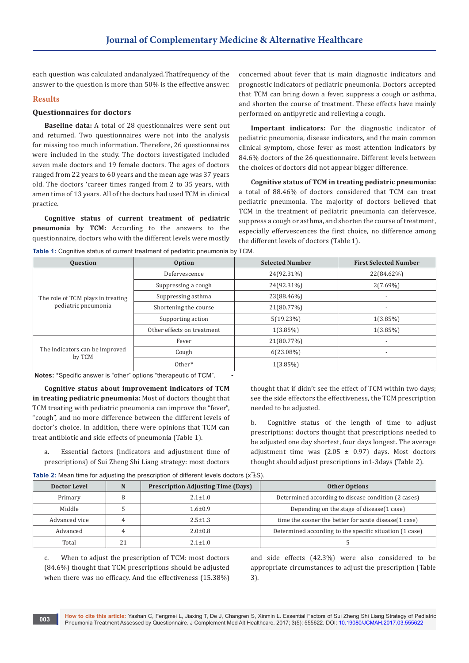each question was calculated andanalyzed.Thatfrequency of the answer to the question is more than 50% is the effective answer.

## **Results**

#### **Questionnaires for doctors**

**Baseline data:** A total of 28 questionnaires were sent out and returned. Two questionnaires were not into the analysis for missing too much information. Therefore, 26 questionnaires were included in the study. The doctors investigated included seven male doctors and 19 female doctors. The ages of doctors ranged from 22 years to 60 years and the mean age was 37 years old. The doctors 'career times ranged from 2 to 35 years, with amen time of 13 years. All of the doctors had used TCM in clinical practice.

**Cognitive status of current treatment of pediatric pneumonia by TCM:** According to the answers to the questionnaire, doctors who with the different levels were mostly

concerned about fever that is main diagnostic indicators and prognostic indicators of pediatric pneumonia. Doctors accepted that TCM can bring down a fever, suppress a cough or asthma, and shorten the course of treatment. These effects have mainly performed on antipyretic and relieving a cough.

**Important indicators:** For the diagnostic indicator of pediatric pneumonia, disease indicators, and the main common clinical symptom, chose fever as most attention indicators by 84.6% doctors of the 26 questionnaire. Different levels between the choices of doctors did not appear bigger difference.

**Cognitive status of TCM in treating pediatric pneumonia:** a total of 88.46% of doctors considered that TCM can treat pediatric pneumonia. The majority of doctors believed that TCM in the treatment of pediatric pneumonia can defervesce, suppress a cough or asthma, and shorten the course of treatment, especially effervescences the first choice, no difference among the different levels of doctors (Table 1).

**Table 1:** Cognitive status of current treatment of pediatric pneumon

| <b>Question</b>                          | Option                     | <b>Selected Number</b> | <b>First Selected Number</b> |
|------------------------------------------|----------------------------|------------------------|------------------------------|
|                                          | Defervescence              | 24(92.31%)             | 22(84.62%)                   |
|                                          | Suppressing a cough        | 24(92.31%)             | $2(7.69\%)$                  |
| The role of TCM plays in treating        | Suppressing asthma         | 23(88.46%)             |                              |
| pediatric pneumonia                      | Shortening the course      | 21(80.77%)             | $\overline{\phantom{a}}$     |
|                                          | Supporting action          | 5(19.23%)              | $1(3.85\%)$                  |
|                                          | Other effects on treatment | $1(3.85\%)$            | $1(3.85\%)$                  |
|                                          | Fever                      | 21(80.77%)             |                              |
| The indicators can be improved<br>by TCM | Cough                      | $6(23.08\%)$           | $\overline{\phantom{a}}$     |
|                                          | Other*                     | $1(3.85\%)$            |                              |

 **Notes:** \*Specific answer is "other" options "therapeutic of TCM". **-**

**Cognitive status about improvement indicators of TCM in treating pediatric pneumonia:** Most of doctors thought that TCM treating with pediatric pneumonia can improve the "fever", "cough", and no more difference between the different levels of doctor's choice. In addition, there were opinions that TCM can treat antibiotic and side effects of pneumonia (Table 1).

a. Essential factors (indicators and adjustment time of prescriptions) of Sui Zheng Shi Liang strategy: most doctors

thought that if didn't see the effect of TCM within two days; see the side effectors the effectiveness, the TCM prescription needed to be adjusted.

b. Cognitive status of the length of time to adjust prescriptions: doctors thought that prescriptions needed to be adjusted one day shortest, four days longest. The average adjustment time was  $(2.05 \pm 0.97)$  days. Most doctors thought should adjust prescriptions in1-3days (Table 2).

**Table 2:** Mean time for adjusting the prescription of different levels doctors (x<sup>+</sup>ES).

| Doctor Level  | N | <b>Prescription Adjusting Time (Days)</b> | <b>Other Options</b>                                    |
|---------------|---|-------------------------------------------|---------------------------------------------------------|
| Primary       |   | $2.1 \pm 1.0$                             | Determined according to disease condition (2 cases)     |
| Middle        |   | $1.6 \pm 0.9$                             | Depending on the stage of disease(1 case)               |
| Advanced vice |   | $2.5 \pm 1.3$                             | time the sooner the better for acute disease(1 case)    |
| Advanced      |   | $2.0 \pm 0.8$                             | Determined according to the specific situation (1 case) |
| Total         |   | $2.1 + 1.0$                               |                                                         |

c. When to adjust the prescription of TCM: most doctors (84.6%) thought that TCM prescriptions should be adjusted when there was no efficacy. And the effectiveness (15.38%)

and side effects (42.3%) were also considered to be appropriate circumstances to adjust the prescription (Table 3).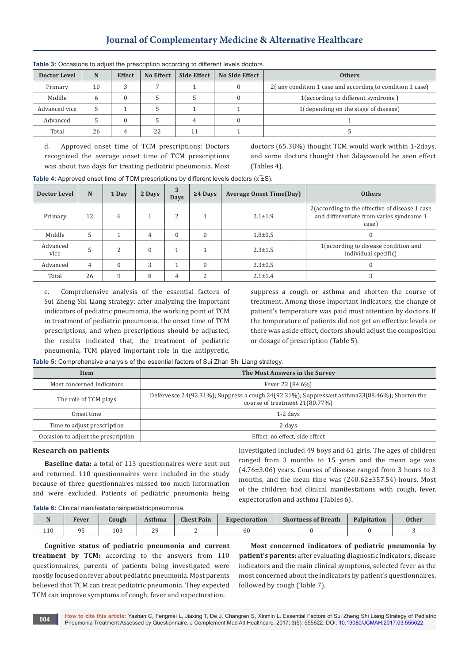# **Journal of Complementary Medicine & Alternative Healthcare**

| <b>TUDIO 0.</b> Occupiono to adjust the presemption according to unicrent revels accided. |    |               |           |                    |                       |                                                           |  |  |
|-------------------------------------------------------------------------------------------|----|---------------|-----------|--------------------|-----------------------|-----------------------------------------------------------|--|--|
| <b>Doctor Level</b>                                                                       | N  | <b>Effect</b> | No Effect | <b>Side Effect</b> | <b>No Side Effect</b> | <b>Others</b>                                             |  |  |
| Primary                                                                                   | 10 |               |           |                    |                       | 2(any condition 1 case and according to condition 1 case) |  |  |
| Middle                                                                                    | h  |               |           |                    |                       | 1(according to different syndrome)                        |  |  |
| Advanced vice                                                                             |    |               |           |                    |                       | 1(depending on the stage of disease)                      |  |  |
| Advanced                                                                                  |    |               |           |                    |                       |                                                           |  |  |
| Total                                                                                     | 26 |               | 22        |                    |                       |                                                           |  |  |

**Table 3:** Occasions to adjust the prescription according to different levels doctors

d. Approved onset time of TCM prescriptions: Doctors recognized the average onset time of TCM prescriptions was about two days for treating pediatric pneumonia. Most doctors (65.38%) thought TCM would work within 1-2days, and some doctors thought that 3dayswould be seen effect (Tables 4).

**Table 4:** Approved onset time of TCM prescriptions by different levels doctors ( $x = 5$ ).

| Doctor Level     | N  | 1 Day | 2 Days | 3<br><b>Days</b> | $\geq$ 4 Days | <b>Average Onset Time(Day)</b> | <b>Others</b>                                                                                        |
|------------------|----|-------|--------|------------------|---------------|--------------------------------|------------------------------------------------------------------------------------------------------|
| Primary          | 12 | 6     |        |                  |               | $2.1 \pm 1.9$                  | 2 (according to the effective of disease 1 case<br>and differentiate from varies syndrome 1<br>case) |
| Middle           |    |       | 4      |                  |               | $1.8 + 0.5$                    |                                                                                                      |
| Advanced<br>vice |    | ∍     |        |                  |               | $2.3 \pm 1.5$                  | 1 (according to disease condition and<br>individual specific)                                        |
| Advanced         | 4  |       | 3      |                  |               | $2.3 \pm 0.5$                  |                                                                                                      |
| Total            | 26 | q     | 8      | 4                | n             | $2.1 \pm 1.4$                  |                                                                                                      |

e. Comprehensive analysis of the essential factors of Sui Zheng Shi Liang strategy: after analyzing the important indicators of pediatric pneumonia, the working point of TCM in treatment of pediatric pneumonia, the onset time of TCM prescriptions, and when prescriptions should be adjusted, the results indicated that, the treatment of pediatric pneumonia, TCM played important role in the antipyretic,

suppress a cough or asthma and shorten the course of treatment. Among those important indicators, the change of patient's temperature was paid most attention by doctors. If the temperature of patients did not get an effective levels or there was a side effect, doctors should adjust the composition or dosage of prescription (Table 5).

**Table 5:** Comprehensive analysis of the essential factors of Sui Zhan Shi Liang strategy.

| Item                                | The Most Answers in the Survey                                                                                                  |
|-------------------------------------|---------------------------------------------------------------------------------------------------------------------------------|
| Most concerned indicators           | Fever 22 (84.6%)                                                                                                                |
| The role of TCM plays               | Defervesce 24(92.31%); Suppress a cough 24(92.31%); Suppressant asthma23(88.46%); Shorten the<br>course of treatment 21(80.77%) |
| Onset time                          | $1-2$ days                                                                                                                      |
| Time to adjust prescription         | 2 days                                                                                                                          |
| Occasion to adjust the prescription | Effect, no effect, side effect                                                                                                  |

#### **Research on patients**

**Baseline data:** a total of 113 questionnaires were sent out and returned. 110 questionnaires were included in the study because of three questionnaires missed too much information and were excluded. Patients of pediatric pneumonia being investigated included 49 boys and 61 girls. The ages of children ranged from 3 months to 15 years and the mean age was (4.76±3.06) years. Courses of disease ranged from 3 hours to 3 months, and the mean time was (240.62±357.54) hours. Most of the children had clinical manifestations with cough, fever, expectoration and asthma (Tables 6).

**Table 6:** Clinical manifestationsinpediatricpneumonia.

| <b>NT</b><br>$\mathbf{1}$ | Fever | Cough | Asthma          | <b>Chest Pain</b> | <b>Expectoration</b> | <b>Shortness of Breath</b> | Palpitation | <b>Other</b> |
|---------------------------|-------|-------|-----------------|-------------------|----------------------|----------------------------|-------------|--------------|
| 110<br>1 T N              | ر ،   | 103   | $\Omega$<br>. . |                   | 60                   |                            |             |              |

**Cognitive status of pediatric pneumonia and current treatment by TCM:** according to the answers from 110 questionnaires, parents of patients being investigated were mostly focused on fever about pediatric pneumonia. Most parents believed that TCM can treat pediatric pneumonia. They expected TCM can improve symptoms of cough, fever and expectoration.

**Most concerned indicators of pediatric pneumonia by patient's parents:** after evaluating diagnostic indicators, disease indicators and the main clinical symptoms, selected fever as the most concerned about the indicators by patient's questionnaires, followed by cough (Table 7).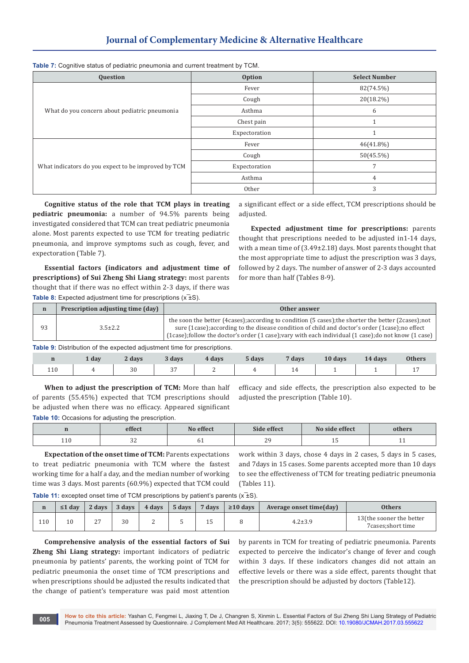# **Journal of Complementary Medicine & Alternative Healthcare**

**Table 7:** Cognitive status of pediatric pneumonia and current treatment by TCM.

| Question                                            | <b>Option</b> | <b>Select Number</b> |
|-----------------------------------------------------|---------------|----------------------|
|                                                     | Fever         | 82(74.5%)            |
|                                                     | Cough         | 20(18.2%)            |
| What do you concern about pediatric pneumonia       | Asthma        | 6                    |
|                                                     | Chest pain    |                      |
|                                                     | Expectoration |                      |
|                                                     | Fever         | $46(41.8\%)$         |
|                                                     | Cough         | 50(45.5%)            |
| What indicators do you expect to be improved by TCM | Expectoration |                      |
|                                                     | Asthma        | 4                    |
|                                                     | Other         | 3                    |

**Cognitive status of the role that TCM plays in treating pediatric pneumonia:** a number of 94.5% parents being investigated considered that TCM can treat pediatric pneumonia alone. Most parents expected to use TCM for treating pediatric pneumonia, and improve symptoms such as cough, fever, and expectoration (Table 7).

**Essential factors (indicators and adjustment time of prescriptions) of Sui Zheng Shi Liang strategy:** most parents thought that if there was no effect within 2-3 days, if there was **Table 8:** Expected adjustment time for prescriptions ( $x\overline{\pm}S$ ).

a significant effect or a side effect, TCM prescriptions should be adjusted.

**Expected adjustment time for prescriptions:** parents thought that prescriptions needed to be adjusted in1-14 days, with a mean time of (3.49±2.18) days. Most parents thought that the most appropriate time to adjust the prescription was 3 days, followed by 2 days. The number of answer of 2-3 days accounted for more than half (Tables 8-9).

| $\mathbf n$ | Prescription adjusting time (day) | Other answer                                                                                                                                                                                                                                                                                                      |
|-------------|-----------------------------------|-------------------------------------------------------------------------------------------------------------------------------------------------------------------------------------------------------------------------------------------------------------------------------------------------------------------|
|             | $3.5 \pm 2.2$                     | the soon the better (4 cases); according to condition (5 cases); the shorter the better (2 cases); not<br>sure (1 case); according to the disease condition of child and doctor's order (1 case); no effect<br>[1case];follow the doctor's order (1 case);vary with each individual (1 case);do not know (1 case) |

**Table 9:** Distribution of the expected adjustment time for prescriptions.

|     | $\perp$ day | 2 days | 3 days | 4 days | 5 days | 7 days | 10 days | 14 days | <b>Others</b> |
|-----|-------------|--------|--------|--------|--------|--------|---------|---------|---------------|
| 110 |             |        |        |        |        |        |         |         |               |

**When to adjust the prescription of TCM:** More than half of parents (55.45%) expected that TCM prescriptions should be adjusted when there was no efficacy. Appeared significant **Table 10:** Occasions for adjusting the prescription.

efficacy and side effects, the prescription also expected to be adjusted the prescription (Table 10).

|                         | effect     | No effect | Side effect   | No side effect | others |
|-------------------------|------------|-----------|---------------|----------------|--------|
| 1.1 <sub>0</sub><br>TTO | n r<br>ے ت | ັ∪⊥       | $\Omega$<br>∼ | ᅩ<br>$\sim$    |        |

**Expectation of the onset time of TCM:** Parents expectations to treat pediatric pneumonia with TCM where the fastest working time for a half a day, and the median number of working time was 3 days. Most parents (60.9%) expected that TCM could work within 3 days, chose 4 days in 2 cases, 5 days in 5 cases, and 7days in 15 cases. Some parents accepted more than 10 days to see the effectiveness of TCM for treating pediatric pneumonia (Tables 11).

**Table 11:** excepted onset time of TCM prescriptions by patient's parents ( $x = t$ S).

| n   | $\leq 1$ day | 2 days | 3 days | 4 days | $5$ days | 7 days     | $\geq$ 10 days | Average onset time(day) | <b>Others</b>                                    |
|-----|--------------|--------|--------|--------|----------|------------|----------------|-------------------------|--------------------------------------------------|
| 110 | 10           | $\sim$ | 30     |        |          | <b>I</b> U |                | $4.2 \pm 3.9$           | 13 (the sooner the better<br>7 cases; short time |

**Comprehensive analysis of the essential factors of Sui Zheng Shi Liang strategy:** important indicators of pediatric pneumonia by patients' parents, the working point of TCM for pediatric pneumonia the onset time of TCM prescriptions and when prescriptions should be adjusted the results indicated that the change of patient's temperature was paid most attention

by parents in TCM for treating of pediatric pneumonia. Parents expected to perceive the indicator's change of fever and cough within 3 days. If these indicators changes did not attain an effective levels or there was a side effect, parents thought that the prescription should be adjusted by doctors (Table12).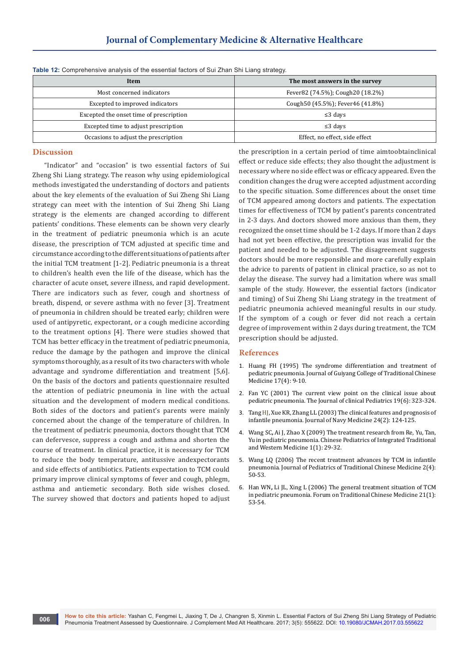# **Journal of Complementary Medicine & Alternative Healthcare**

| Item                                    | The most answers in the survey     |  |  |  |  |  |
|-----------------------------------------|------------------------------------|--|--|--|--|--|
| Most concerned indicators               | Fever82 (74.5%); Cough20 (18.2%)   |  |  |  |  |  |
| Excepted to improved indicators         | Cough 50 (45.5%); Fever 46 (41.8%) |  |  |  |  |  |
| Excepted the onset time of prescription | $\leq$ 3 days                      |  |  |  |  |  |
| Excepted time to adjust prescription    | $\leq$ 3 days                      |  |  |  |  |  |
| Occasions to adjust the prescription    | Effect, no effect, side effect     |  |  |  |  |  |

**Table 12:** Comprehensive analysis of the essential factors of Sui Zhan Shi Liang strategy.

#### **Discussion**

"Indicator" and "occasion" is two essential factors of Sui Zheng Shi Liang strategy. The reason why using epidemiological methods investigated the understanding of doctors and patients about the key elements of the evaluation of Sui Zheng Shi Liang strategy can meet with the intention of Sui Zheng Shi Liang strategy is the elements are changed according to different patients' conditions. These elements can be shown very clearly in the treatment of pediatric pneumonia which is an acute disease, the prescription of TCM adjusted at specific time and circumstance according to the different situations of patients after the initial TCM treatment [1-2]. Pediatric pneumonia is a threat to children's health even the life of the disease, which has the character of acute onset, severe illness, and rapid development. There are indicators such as fever, cough and shortness of breath, dispend, or severe asthma with no fever [3]. Treatment of pneumonia in children should be treated early; children were used of antipyretic, expectorant, or a cough medicine according to the treatment options [4]. There were studies showed that TCM has better efficacy in the treatment of pediatric pneumonia, reduce the damage by the pathogen and improve the clinical symptoms thoroughly, as a result of its two characters with whole advantage and syndrome differentiation and treatment [5,6]. On the basis of the doctors and patients questionnaire resulted the attention of pediatric pneumonia in line with the actual situation and the development of modern medical conditions. Both sides of the doctors and patient's parents were mainly concerned about the change of the temperature of children. In the treatment of pediatric pneumonia, doctors thought that TCM can defervesce, suppress a cough and asthma and shorten the course of treatment. In clinical practice, it is necessary for TCM to reduce the body temperature, antitussive andexpectorants and side effects of antibiotics. Patients expectation to TCM could primary improve clinical symptoms of fever and cough, phlegm, asthma and antiemetic secondary. Both side wishes closed. The survey showed that doctors and patients hoped to adjust

the prescription in a certain period of time aimtoobtainclinical effect or reduce side effects; they also thought the adjustment is necessary where no side effect was or efficacy appeared. Even the condition changes the drug were accepted adjustment according to the specific situation. Some differences about the onset time of TCM appeared among doctors and patients. The expectation times for effectiveness of TCM by patient's parents concentrated in 2-3 days. And doctors showed more anxious than them, they recognized the onset time should be 1-2 days. If more than 2 days had not yet been effective, the prescription was invalid for the patient and needed to be adjusted. The disagreement suggests doctors should be more responsible and more carefully explain the advice to parents of patient in clinical practice, so as not to delay the disease. The survey had a limitation where was small sample of the study. However, the essential factors (indicator and timing) of Sui Zheng Shi Liang strategy in the treatment of pediatric pneumonia achieved meaningful results in our study. If the symptom of a cough or fever did not reach a certain degree of improvement within 2 days during treatment, the TCM prescription should be adjusted.

#### **References**

- 1. Huang FH (1995) The syndrome differentiation and treatment of pediatric pneumonia. Journal of Guiyang College of Traditional Chinese Medicine 17(4): 9-10.
- 2. Fan YC (2001) The current view point on the clinical issue about pediatric pneumonia. The Journal of clinical Pediatrics 19(6): 323-324.
- 3. Tang HJ, Xue KR, Zhang LL (2003) The clinical features and prognosis of infantile pneumonia. Journal of Navy Medicine 24(2): 124-125.
- 4. Wang SC**,** Ai J, Zhao X (2009) The treatment research from Re, Yu, Tan, Yu in pediatric pneumonia. Chinese Pediatrics of Integrated Traditional and Western Medicine 1(1): 29-32.
- 5. Wang LQ (2006) The recent treatment advances by TCM in infantile pneumonia. Journal of Pediatrics of Traditional Chinese Medicine 2(4): 50-53.
- 6. Han WN**,** Li JL, Xing L (2006) The general treatment situation of TCM in pediatric pneumonia. Forum on Traditional Chinese Medicine 21(1): 53-54.